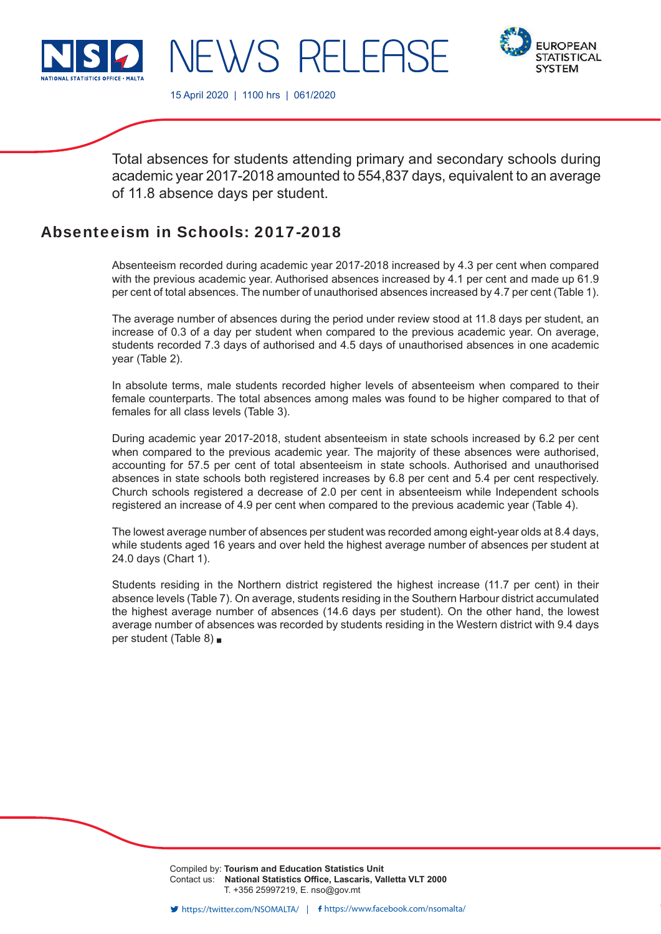



15 April 2020 | 1100 hrs | 061/2020

NFWS RFI FF

Total absences for students attending primary and secondary schools during academic year 2017-2018 amounted to 554,837 days, equivalent to an average of 11.8 absence days per student.

# Absenteeism in Schools: 2017-2018

Absenteeism recorded during academic year 2017-2018 increased by 4.3 per cent when compared with the previous academic year. Authorised absences increased by 4.1 per cent and made up 61.9 per cent of total absences. The number of unauthorised absences increased by 4.7 per cent (Table 1).

The average number of absences during the period under review stood at 11.8 days per student, an increase of 0.3 of a day per student when compared to the previous academic year. On average, students recorded 7.3 days of authorised and 4.5 days of unauthorised absences in one academic year (Table 2).

In absolute terms, male students recorded higher levels of absenteeism when compared to their female counterparts. The total absences among males was found to be higher compared to that of females for all class levels (Table 3).

During academic year 2017-2018, student absenteeism in state schools increased by 6.2 per cent when compared to the previous academic year. The majority of these absences were authorised, accounting for 57.5 per cent of total absenteeism in state schools. Authorised and unauthorised absences in state schools both registered increases by 6.8 per cent and 5.4 per cent respectively. Church schools registered a decrease of 2.0 per cent in absenteeism while Independent schools registered an increase of 4.9 per cent when compared to the previous academic year (Table 4).

The lowest average number of absences per student was recorded among eight-year olds at 8.4 days, while students aged 16 years and over held the highest average number of absences per student at 24.0 days (Chart 1).

Students residing in the Northern district registered the highest increase (11.7 per cent) in their absence levels (Table 7). On average, students residing in the Southern Harbour district accumulated the highest average number of absences (14.6 days per student). On the other hand, the lowest average number of absences was recorded by students residing in the Western district with 9.4 days per student (Table 8)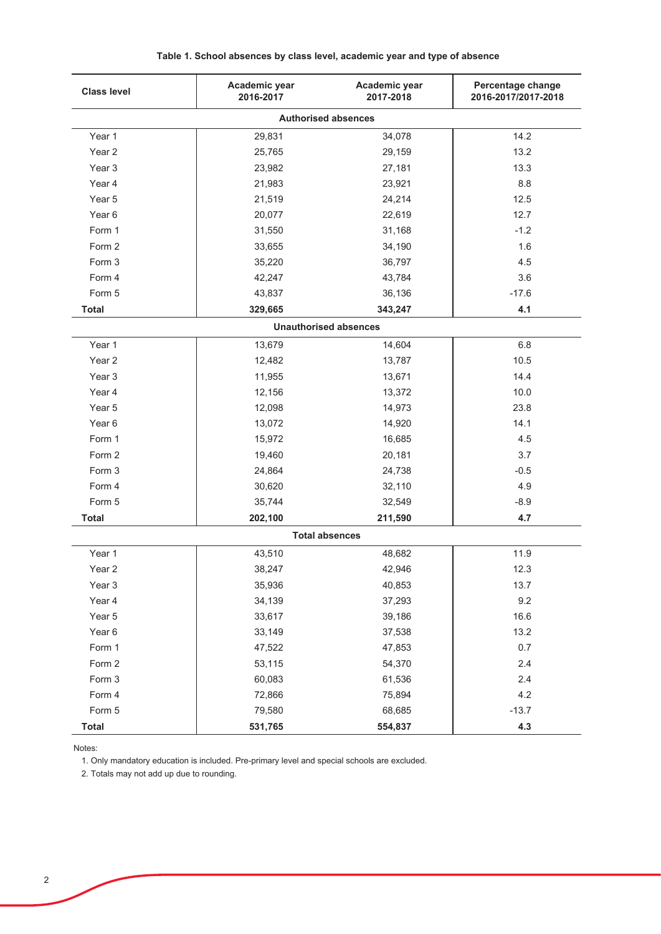| <b>Class level</b> | Academic year<br>2016-2017 | Academic year<br>2017-2018   | Percentage change<br>2016-2017/2017-2018 |
|--------------------|----------------------------|------------------------------|------------------------------------------|
|                    |                            | <b>Authorised absences</b>   |                                          |
| Year 1             | 29,831                     | 34,078                       | 14.2                                     |
| Year <sub>2</sub>  | 25,765                     | 29,159                       | 13.2                                     |
| Year <sub>3</sub>  | 23,982                     | 27,181                       | 13.3                                     |
| Year 4             | 21,983                     | 23,921                       | 8.8                                      |
| Year 5             | 21,519                     | 24,214                       | 12.5                                     |
| Year <sub>6</sub>  | 20,077                     | 22,619                       | 12.7                                     |
| Form 1             | 31,550                     | 31,168                       | $-1.2$                                   |
| Form 2             | 33,655                     | 34,190                       | 1.6                                      |
| Form 3             | 35,220                     | 36,797                       | 4.5                                      |
| Form 4             | 42,247                     | 43,784                       | 3.6                                      |
| Form 5             | 43,837                     | 36,136                       | $-17.6$                                  |
| <b>Total</b>       | 329,665                    | 343,247                      | 4.1                                      |
|                    |                            | <b>Unauthorised absences</b> |                                          |
| Year 1             | 13,679                     | 14,604                       | 6.8                                      |
| Year <sub>2</sub>  | 12,482                     | 13,787                       | 10.5                                     |
| Year <sub>3</sub>  | 11,955                     | 13,671                       | 14.4                                     |
| Year 4             | 12,156                     | 13,372                       | 10.0                                     |
| Year <sub>5</sub>  | 12,098                     | 14,973                       | 23.8                                     |
| Year 6             | 13,072                     | 14,920                       | 14.1                                     |
| Form 1             | 15,972                     | 16,685                       | 4.5                                      |
| Form 2             | 19,460                     | 20,181                       | 3.7                                      |
| Form 3             | 24,864                     | 24,738                       | $-0.5$                                   |
| Form 4             | 30,620                     | 32,110                       | 4.9                                      |
| Form 5             | 35,744                     | 32,549                       | $-8.9$                                   |
| <b>Total</b>       | 202,100                    | 211,590                      | 4.7                                      |
|                    |                            | <b>Total absences</b>        |                                          |
| Year 1             | 43,510                     | 48,682                       | 11.9                                     |
| Year 2             | 38,247                     | 42,946                       | 12.3                                     |
| Year 3             | 35,936                     | 40,853                       | 13.7                                     |
| Year 4             | 34,139                     | 37,293                       | 9.2                                      |
| Year 5             | 33,617                     | 39,186                       | 16.6                                     |
| Year 6             | 33,149                     | 37,538                       | 13.2                                     |
| Form 1             | 47,522                     | 47,853                       | $0.7\,$                                  |
| Form 2             | 53,115                     | 54,370                       | 2.4                                      |
| Form 3             | 60,083                     | 61,536                       | 2.4                                      |
| Form 4             | 72,866                     | 75,894                       | 4.2                                      |
| Form 5             | 79,580                     | 68,685                       | $-13.7$                                  |
| <b>Total</b>       | 531,765                    | 554,837                      | 4.3                                      |

Table 1. School absences by class level, academic year and type of absence

Notes:

1. Only mandatory education is included. Pre-primary level and special schools are excluded.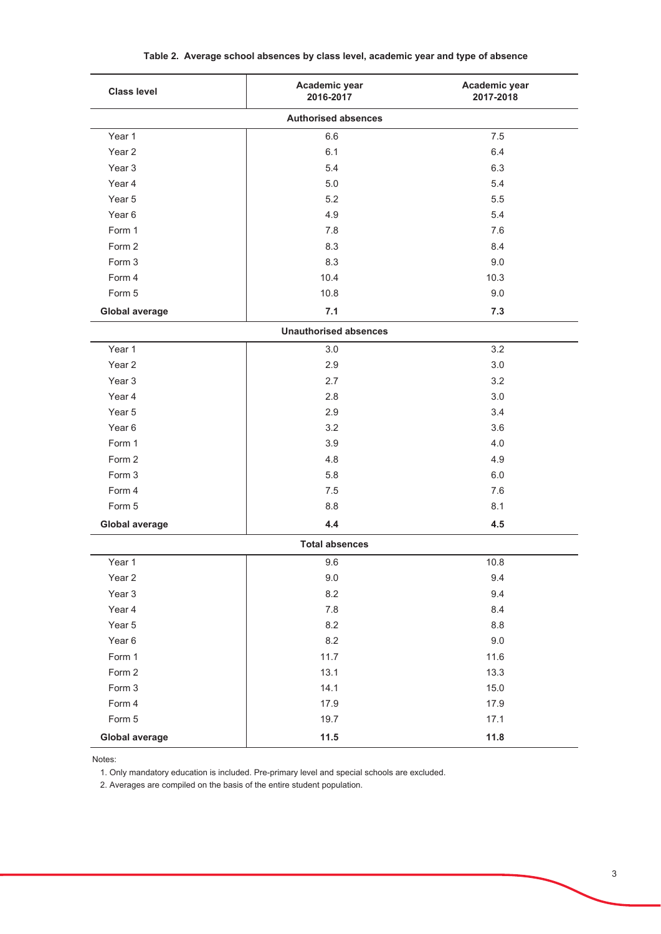| <b>Class level</b>    | Academic year<br>2016-2017   | Academic year<br>2017-2018 |
|-----------------------|------------------------------|----------------------------|
|                       | <b>Authorised absences</b>   |                            |
| Year 1                | 6.6                          | 7.5                        |
| Year <sub>2</sub>     | 6.1                          | 6.4                        |
| Year <sub>3</sub>     | 5.4                          | 6.3                        |
| Year 4                | 5.0                          | 5.4                        |
| Year 5                | 5.2                          | 5.5                        |
| Year <sub>6</sub>     | 4.9                          | 5.4                        |
| Form 1                | 7.8                          | 7.6                        |
| Form 2                | 8.3                          | 8.4                        |
| Form 3                | 8.3                          | 9.0                        |
| Form 4                | 10.4                         | 10.3                       |
| Form 5                | 10.8                         | 9.0                        |
| <b>Global average</b> | 7.1                          | 7.3                        |
|                       | <b>Unauthorised absences</b> |                            |
| Year 1                | 3.0                          | 3.2                        |
| Year 2                | 2.9                          | 3.0                        |
| Year <sub>3</sub>     | 2.7                          | 3.2                        |
| Year 4                | 2.8                          | 3.0                        |
| Year 5                | 2.9                          | 3.4                        |
| Year <sub>6</sub>     | 3.2                          | 3.6                        |
| Form 1                | 3.9                          | 4.0                        |
| Form 2                | 4.8                          | 4.9                        |
| Form 3                | 5.8                          | 6.0                        |
| Form 4                | 7.5                          | 7.6                        |
| Form 5                | 8.8                          | 8.1                        |
| <b>Global average</b> | 4.4                          | 4.5                        |
|                       | <b>Total absences</b>        |                            |
| Year 1                | 9.6                          | 10.8                       |
| Year 2                | $9.0\,$                      | 9.4                        |
| Year 3                | 8.2                          | 9.4                        |
| Year 4                | $7.8\,$                      | 8.4                        |
| Year 5                | $8.2\,$                      | 8.8                        |
| Year 6                | $8.2\,$                      | $9.0\,$                    |
| Form 1                | 11.7                         | 11.6                       |
| Form 2                | 13.1                         | 13.3                       |
| Form 3                | 14.1                         | 15.0                       |
| Form 4                | 17.9                         | 17.9                       |
| Form 5                | 19.7                         | 17.1                       |
| <b>Global average</b> | 11.5                         | 11.8                       |

## Table 2. Average school absences by class level, academic year and type of absence

Notes:

1. Only mandatory education is included. Pre-primary level and special schools are excluded.

2. Averages are compiled on the basis of the entire student population.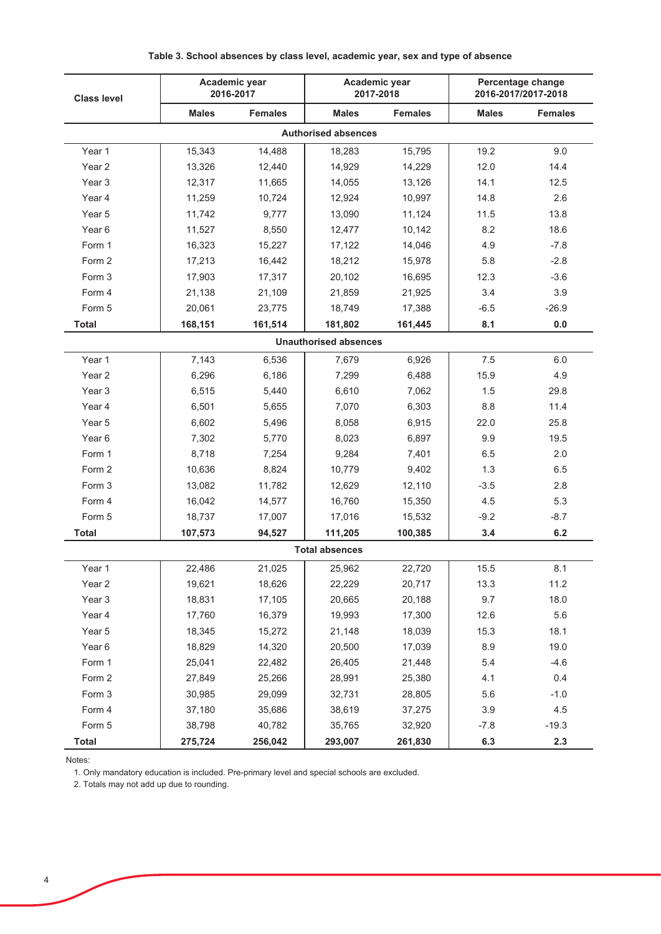| <b>Class level</b> |              | Academic year<br>2016-2017 | Academic year<br>2017-2018   |                | Percentage change<br>2016-2017/2017-2018 |                |
|--------------------|--------------|----------------------------|------------------------------|----------------|------------------------------------------|----------------|
|                    | <b>Males</b> | <b>Females</b>             | <b>Males</b>                 | <b>Females</b> | <b>Males</b>                             | <b>Females</b> |
|                    |              |                            | <b>Authorised absences</b>   |                |                                          |                |
| Year 1             | 15,343       | 14,488                     | 18,283                       | 15,795         | 19.2                                     | 9.0            |
| Year <sub>2</sub>  | 13,326       | 12,440                     | 14,929                       | 14,229         | 12.0                                     | 14.4           |
| Year 3             | 12,317       | 11,665                     | 14,055                       | 13,126         | 14.1                                     | 12.5           |
| Year 4             | 11,259       | 10,724                     | 12,924                       | 10,997         | 14.8                                     | 2.6            |
| Year 5             | 11,742       | 9,777                      | 13,090                       | 11,124         | 11.5                                     | 13.8           |
| Year 6             | 11,527       | 8,550                      | 12,477                       | 10,142         | 8.2                                      | 18.6           |
| Form 1             | 16,323       | 15,227                     | 17,122                       | 14,046         | 4.9                                      | $-7.8$         |
| Form 2             | 17,213       | 16,442                     | 18,212                       | 15,978         | 5.8                                      | $-2.8$         |
| Form 3             | 17,903       | 17,317                     | 20,102                       | 16,695         | 12.3                                     | $-3.6$         |
| Form 4             | 21,138       | 21,109                     | 21,859                       | 21,925         | 3.4                                      | 3.9            |
| Form 5             | 20,061       | 23,775                     | 18,749                       | 17,388         | $-6.5$                                   | $-26.9$        |
| <b>Total</b>       | 168,151      | 161,514                    | 181,802                      | 161,445        | 8.1                                      | $0.0\,$        |
|                    |              |                            | <b>Unauthorised absences</b> |                |                                          |                |
| Year 1             | 7,143        | 6,536                      | 7,679                        | 6,926          | 7.5                                      | 6.0            |
| Year <sub>2</sub>  | 6,296        | 6,186                      | 7,299                        | 6,488          | 15.9                                     | 4.9            |
| Year <sub>3</sub>  | 6,515        | 5,440                      | 6,610                        | 7,062          | 1.5                                      | 29.8           |
| Year 4             | 6,501        | 5,655                      | 7,070                        | 6,303          | 8.8                                      | 11.4           |
| Year 5             | 6,602        | 5,496                      | 8,058                        | 6,915          | 22.0                                     | 25.8           |
| Year 6             | 7,302        | 5,770                      | 8,023                        | 6,897          | 9.9                                      | 19.5           |
| Form 1             | 8,718        | 7,254                      | 9,284                        | 7,401          | 6.5                                      | 2.0            |
| Form 2             | 10,636       | 8,824                      | 10,779                       | 9,402          | 1.3                                      | 6.5            |
| Form 3             | 13,082       | 11,782                     | 12,629                       | 12,110         | $-3.5$                                   | 2.8            |
| Form 4             | 16,042       | 14,577                     | 16,760                       | 15,350         | 4.5                                      | 5.3            |
| Form 5             | 18,737       | 17,007                     | 17,016                       | 15,532         | $-9.2$                                   | $-8.7$         |
| <b>Total</b>       | 107,573      | 94,527                     | 111,205                      | 100,385        | 3.4                                      | 6.2            |
|                    |              |                            | <b>Total absences</b>        |                |                                          |                |
| Year 1             | 22,486       | 21,025                     | 25,962                       | 22,720         | 15.5                                     | 8.1            |
| Year <sub>2</sub>  | 19,621       | 18,626                     | 22,229                       | 20,717         | 13.3                                     | 11.2           |
| Year 3             | 18,831       | 17,105                     | 20,665                       | 20,188         | 9.7                                      | 18.0           |
| Year 4             | 17,760       | 16,379                     | 19,993                       | 17,300         | 12.6                                     | 5.6            |
| Year 5             | 18,345       | 15,272                     | 21,148                       | 18,039         | 15.3                                     | 18.1           |
| Year 6             | 18,829       | 14,320                     | 20,500                       | 17,039         | 8.9                                      | 19.0           |
| Form 1             | 25,041       | 22,482                     | 26,405                       | 21,448         | 5.4                                      | $-4.6$         |
| Form 2             | 27,849       | 25,266                     | 28,991                       | 25,380         | 4.1                                      | 0.4            |
| Form 3             | 30,985       | 29,099                     | 32,731                       | 28,805         | 5.6                                      | $-1.0$         |
| Form 4             | 37,180       | 35,686                     | 38,619                       | 37,275         | 3.9                                      | 4.5            |
| Form 5             | 38,798       | 40,782                     | 35,765                       | 32,920         | $-7.8$                                   | $-19.3$        |
| <b>Total</b>       | 275,724      | 256,042                    | 293,007                      | 261,830        | 6.3                                      | 2.3            |

Table 3. School absences by class level, academic year, sex and type of absence

Notes:

1. Only mandatory education is included. Pre-primary level and special schools are excluded.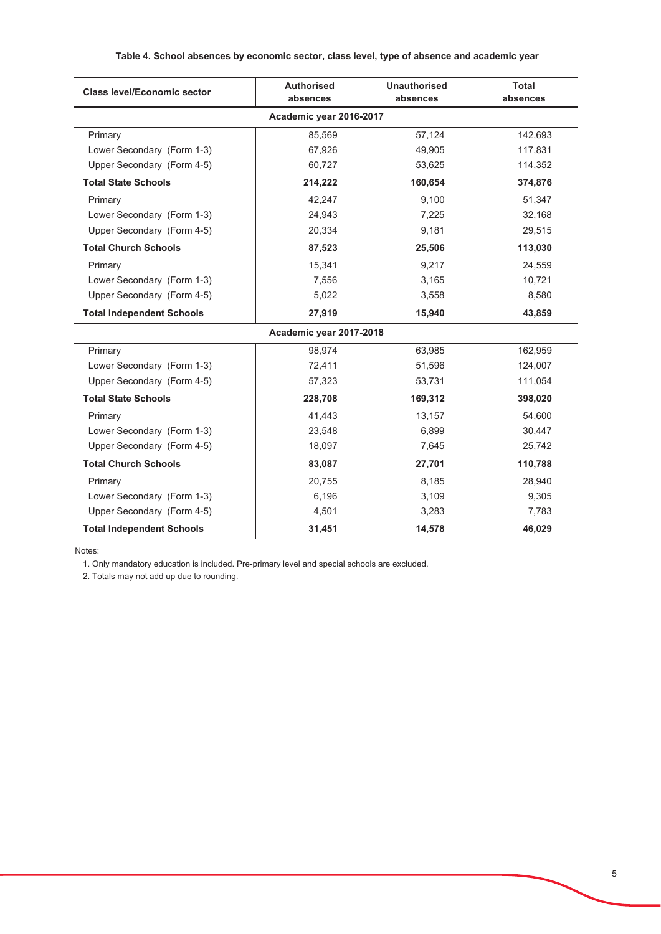| Table 4. School absences by economic sector, class level, type of absence and academic year |  |
|---------------------------------------------------------------------------------------------|--|
|---------------------------------------------------------------------------------------------|--|

| <b>Class level/Economic sector</b> | <b>Authorised</b><br>absences | <b>Unauthorised</b><br>absences | Total<br>absences |  |  |
|------------------------------------|-------------------------------|---------------------------------|-------------------|--|--|
|                                    | Academic year 2016-2017       |                                 |                   |  |  |
| Primary                            | 85,569                        | 57,124                          | 142,693           |  |  |
| Lower Secondary (Form 1-3)         | 67,926                        | 49,905                          | 117,831           |  |  |
| Upper Secondary (Form 4-5)         | 60,727                        | 53,625                          | 114,352           |  |  |
| <b>Total State Schools</b>         | 214,222                       | 160,654                         | 374,876           |  |  |
| Primary                            | 42.247                        | 9.100                           | 51,347            |  |  |
| Lower Secondary (Form 1-3)         | 24,943                        | 7,225                           | 32,168            |  |  |
| Upper Secondary (Form 4-5)         | 20,334                        | 9,181                           | 29,515            |  |  |
| <b>Total Church Schools</b>        | 87,523                        | 25,506                          | 113,030           |  |  |
| Primary                            | 15,341                        | 9,217                           | 24,559            |  |  |
| Lower Secondary (Form 1-3)         | 7,556                         | 3,165                           | 10,721            |  |  |
| Upper Secondary (Form 4-5)         | 5,022                         | 3,558                           | 8,580             |  |  |
| <b>Total Independent Schools</b>   | 27,919                        | 15,940                          | 43,859            |  |  |
|                                    | Academic year 2017-2018       |                                 |                   |  |  |
| Primary                            | 98.974                        | 63,985                          | 162,959           |  |  |
| Lower Secondary (Form 1-3)         | 72,411                        | 51,596                          | 124,007           |  |  |
| Upper Secondary (Form 4-5)         | 57,323                        | 53,731                          | 111,054           |  |  |
| <b>Total State Schools</b>         | 228,708                       | 169,312                         | 398,020           |  |  |
| Primary                            | 41.443                        | 13,157                          | 54,600            |  |  |
| Lower Secondary (Form 1-3)         | 23,548                        | 6,899                           | 30,447            |  |  |
| Upper Secondary (Form 4-5)         | 18,097                        | 7,645                           | 25,742            |  |  |
| <b>Total Church Schools</b>        | 83,087                        | 27,701                          | 110,788           |  |  |
| Primary                            | 20,755                        | 8,185                           | 28,940            |  |  |
| Lower Secondary (Form 1-3)         | 6,196                         | 3,109                           | 9,305             |  |  |
| Upper Secondary (Form 4-5)         | 4,501                         | 3,283                           | 7,783             |  |  |
| <b>Total Independent Schools</b>   | 31,451                        | 14,578                          | 46,029            |  |  |

Notes:

1. Only mandatory education is included. Pre-primary level and special schools are excluded.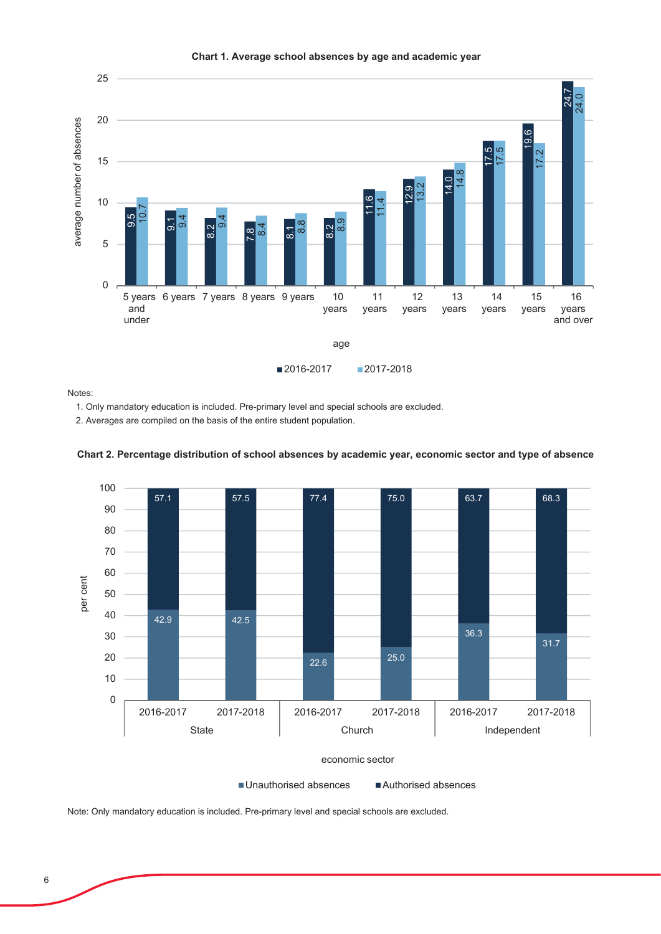

#### Chart 1. Average school absences by age and academic year

Notes:

1. Only mandatory education is included. Pre-primary level and special schools are excluded.

2. Averages are compiled on the basis of the entire student population.



Note: Only mandatory education is included. Pre-primary level and special schools are excluded.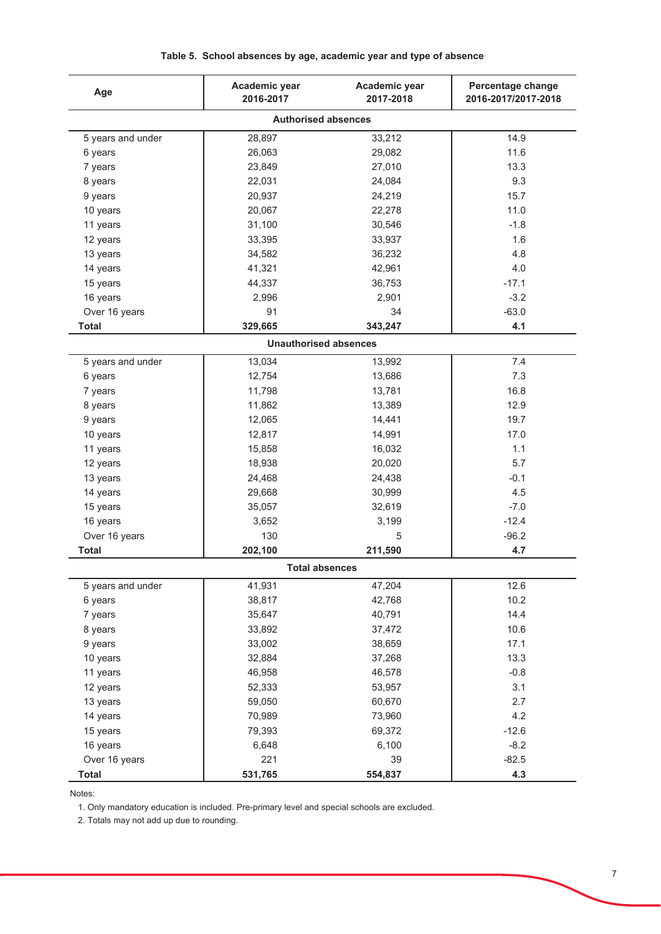| Age                        | Academic year<br>2016-2017   | Academic year<br>2017-2018 | Percentage change<br>2016-2017/2017-2018 |  |
|----------------------------|------------------------------|----------------------------|------------------------------------------|--|
| <b>Authorised absences</b> |                              |                            |                                          |  |
| 5 years and under          | 28,897                       | 33,212                     | 14.9                                     |  |
| 6 years                    | 26,063                       | 29,082                     | 11.6                                     |  |
| 7 years                    | 23,849                       | 27,010                     | 13.3                                     |  |
| 8 years                    | 22,031                       | 24,084                     | 9.3                                      |  |
| 9 years                    | 20,937                       | 24,219                     | 15.7                                     |  |
| 10 years                   | 20,067                       | 22,278                     | 11.0                                     |  |
| 11 years                   | 31,100                       | 30,546                     | $-1.8$                                   |  |
| 12 years                   | 33,395                       | 33,937                     | 1.6                                      |  |
| 13 years                   | 34,582                       | 36,232                     | 4.8                                      |  |
| 14 years                   | 41,321                       | 42,961                     | 4.0                                      |  |
| 15 years                   | 44,337                       | 36,753                     | $-17.1$                                  |  |
| 16 years                   | 2,996                        | 2,901                      | $-3.2$                                   |  |
| Over 16 years              | 91                           | 34                         | $-63.0$                                  |  |
| <b>Total</b>               | 329,665                      | 343,247                    | 4.1                                      |  |
|                            | <b>Unauthorised absences</b> |                            |                                          |  |
| 5 years and under          | 13,034                       | 13,992                     | 7.4                                      |  |
| 6 years                    | 12,754                       | 13,686                     | 7.3                                      |  |
| 7 years                    | 11,798                       | 13,781                     | 16.8                                     |  |
| 8 years                    | 11,862                       | 13,389                     | 12.9                                     |  |
| 9 years                    | 12,065                       | 14,441                     | 19.7                                     |  |
| 10 years                   | 12,817                       | 14,991                     | 17.0                                     |  |
| 11 years                   | 15,858                       | 16,032                     | 1.1                                      |  |
| 12 years                   | 18,938                       | 20,020                     | 5.7                                      |  |
| 13 years                   | 24,468                       | 24,438                     | $-0.1$                                   |  |
| 14 years                   | 29,668                       | 30,999                     | 4.5                                      |  |
| 15 years                   | 35,057                       | 32,619                     | $-7.0$                                   |  |
| 16 years                   | 3,652                        | 3,199                      | $-12.4$                                  |  |
| Over 16 years              | 130                          | 5                          | $-96.2$                                  |  |
| <b>Total</b>               | 202,100                      | 211,590                    | 4.7                                      |  |
|                            | <b>Total absences</b>        |                            |                                          |  |
| 5 years and under          | 41,931                       | 47,204                     | 12.6                                     |  |
| 6 years                    | 38,817                       | 42,768                     | 10.2                                     |  |
| 7 years                    | 35,647                       | 40,791                     | 14.4                                     |  |
| 8 years                    | 33,892                       | 37,472                     | 10.6                                     |  |
| 9 years                    | 33,002                       | 38,659                     | 17.1                                     |  |
| 10 years                   | 32,884                       | 37,268                     | 13.3                                     |  |
| 11 years                   | 46,958                       | 46,578                     | $-0.8$                                   |  |
| 12 years                   | 52,333                       | 53,957                     | 3.1                                      |  |
| 13 years                   | 59,050                       | 60,670                     | 2.7                                      |  |
| 14 years                   | 70,989                       | 73,960                     | 4.2                                      |  |
| 15 years                   | 79,393                       | 69,372                     | $-12.6$                                  |  |
| 16 years                   | 6,648                        | 6,100                      | $-8.2$                                   |  |
| Over 16 years              | 221                          | 39                         | $-82.5$                                  |  |
| <b>Total</b>               | 531,765                      | 554,837                    | 4.3                                      |  |

## Table 5. School absences by age, academic year and type of absence

Notes:

1. Only mandatory education is included. Pre-primary level and special schools are excluded.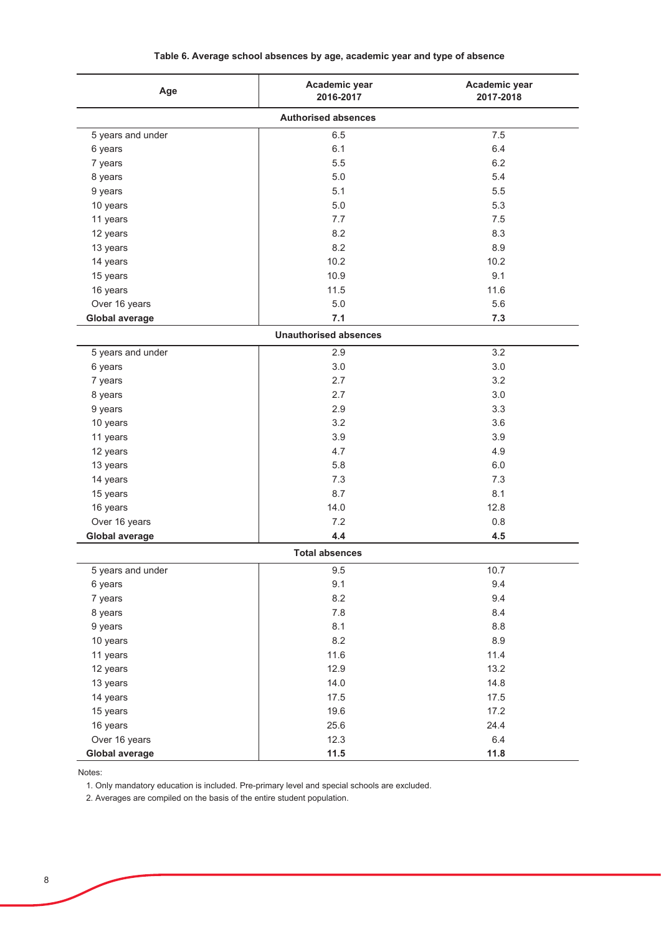| Age                   | Academic year<br>2016-2017   | Academic year<br>2017-2018 |  |  |  |
|-----------------------|------------------------------|----------------------------|--|--|--|
|                       | <b>Authorised absences</b>   |                            |  |  |  |
| 5 years and under     | 6.5                          | $7.5\,$                    |  |  |  |
| 6 years               | 6.1                          | 6.4                        |  |  |  |
| 7 years               | 5.5                          | 6.2                        |  |  |  |
| 8 years               | 5.0                          | 5.4                        |  |  |  |
| 9 years               | 5.1                          | 5.5                        |  |  |  |
| 10 years              | $5.0\,$                      | 5.3                        |  |  |  |
| 11 years              | 7.7                          | 7.5                        |  |  |  |
| 12 years              | 8.2                          | 8.3                        |  |  |  |
| 13 years              | 8.2                          | 8.9                        |  |  |  |
| 14 years              | 10.2                         | 10.2                       |  |  |  |
| 15 years              | 10.9                         | 9.1                        |  |  |  |
| 16 years              | 11.5                         | 11.6                       |  |  |  |
| Over 16 years         | $5.0\,$                      | 5.6                        |  |  |  |
| <b>Global average</b> | 7.1                          | 7.3                        |  |  |  |
|                       | <b>Unauthorised absences</b> |                            |  |  |  |
| 5 years and under     | 2.9                          | 3.2                        |  |  |  |
| 6 years               | 3.0                          | 3.0                        |  |  |  |
| 7 years               | 2.7                          | 3.2                        |  |  |  |
| 8 years               | 2.7                          | 3.0                        |  |  |  |
| 9 years               | 2.9                          | 3.3                        |  |  |  |
| 10 years              | 3.2                          | 3.6                        |  |  |  |
| 11 years              | 3.9                          | 3.9                        |  |  |  |
| 12 years              | 4.7                          | 4.9                        |  |  |  |
| 13 years              | 5.8                          | 6.0                        |  |  |  |
| 14 years              | 7.3                          | 7.3                        |  |  |  |
| 15 years              | 8.7                          | 8.1                        |  |  |  |
| 16 years              | 14.0                         | 12.8                       |  |  |  |
| Over 16 years         | 7.2                          | 0.8                        |  |  |  |
| <b>Global average</b> | 4.4                          | 4.5                        |  |  |  |
|                       | <b>Total absences</b>        |                            |  |  |  |
| 5 years and under     | 9.5                          | 10.7                       |  |  |  |
| 6 years               | 9.1                          | 9.4                        |  |  |  |
| 7 years               | 8.2                          | 9.4                        |  |  |  |
| 8 years               | $7.8\,$                      | 8.4                        |  |  |  |
| 9 years               | 8.1                          | $8.8\,$                    |  |  |  |
| 10 years              | $8.2\,$                      | $8.9\,$                    |  |  |  |
| 11 years              | 11.6                         | 11.4                       |  |  |  |
| 12 years              | 12.9                         | 13.2                       |  |  |  |
| 13 years              | 14.0                         | 14.8                       |  |  |  |
| 14 years              | 17.5                         | 17.5                       |  |  |  |
| 15 years              | 19.6                         | 17.2                       |  |  |  |
| 16 years              | 25.6                         | 24.4                       |  |  |  |
| Over 16 years         | 12.3                         | $6.4\,$                    |  |  |  |
| <b>Global average</b> | 11.5                         | 11.8                       |  |  |  |

## Table 6. Average school absences by age, academic year and type of absence

Notes:

1. Only mandatory education is included. Pre-primary level and special schools are excluded.

2. Averages are compiled on the basis of the entire student population.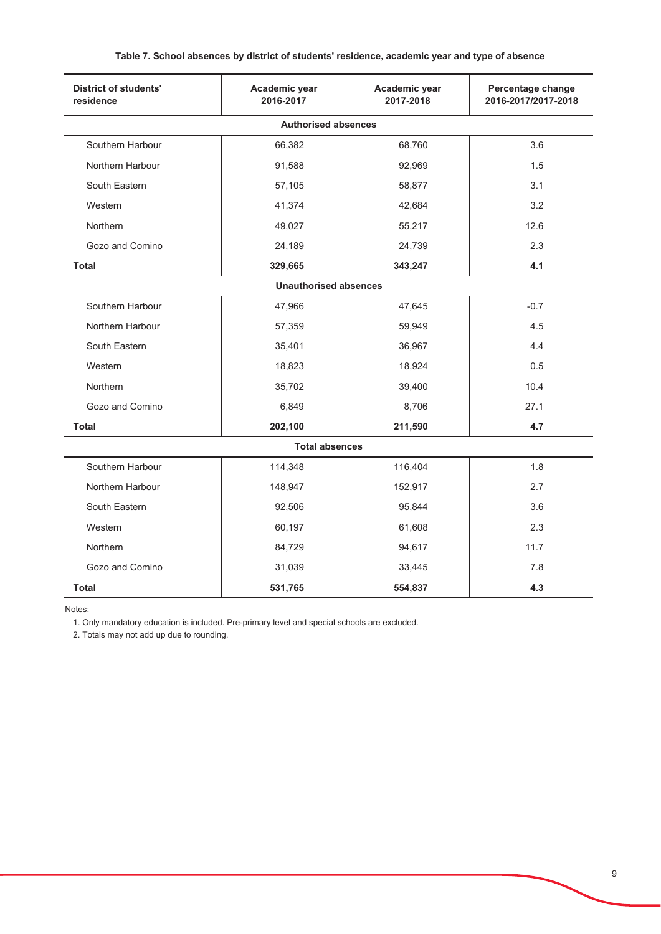## Table 7. School absences by district of students' residence, academic year and type of absence

| <b>District of students'</b><br>residence | Academic year<br>2016-2017   | Academic year<br>2017-2018 | Percentage change<br>2016-2017/2017-2018 |
|-------------------------------------------|------------------------------|----------------------------|------------------------------------------|
|                                           | <b>Authorised absences</b>   |                            |                                          |
| Southern Harbour                          | 66,382                       | 68,760                     | 3.6                                      |
| Northern Harbour                          | 91,588                       | 92,969                     | 1.5                                      |
| South Eastern                             | 57,105                       | 58,877                     | 3.1                                      |
| Western                                   | 41,374                       | 42,684                     | 3.2                                      |
| Northern                                  | 49,027                       | 55,217                     | 12.6                                     |
| Gozo and Comino                           | 24,189                       | 24,739                     | 2.3                                      |
| Total                                     | 329,665                      | 343,247                    | 4.1                                      |
|                                           | <b>Unauthorised absences</b> |                            |                                          |
| Southern Harbour                          | 47,966                       | 47,645                     | $-0.7$                                   |
| Northern Harbour                          | 57,359                       | 59,949                     | 4.5                                      |
| South Eastern                             | 35,401                       | 36,967                     | 4.4                                      |
| Western                                   | 18,823                       | 18,924                     | 0.5                                      |
| Northern                                  | 35,702                       | 39,400                     | 10.4                                     |
| Gozo and Comino                           | 6,849                        | 8,706                      | 27.1                                     |
| <b>Total</b>                              | 202,100                      | 211,590                    | 4.7                                      |
| <b>Total absences</b>                     |                              |                            |                                          |
| Southern Harbour                          | 114,348                      | 116,404                    | 1.8                                      |
| Northern Harbour                          | 148,947                      | 152,917                    | 2.7                                      |
| South Eastern                             | 92,506                       | 95,844                     | 3.6                                      |
| Western                                   | 60,197                       | 61,608                     | 2.3                                      |
| Northern                                  | 84,729                       | 94,617                     | 11.7                                     |
| Gozo and Comino                           | 31,039                       | 33,445                     | 7.8                                      |
| Total                                     | 531,765                      | 554,837                    | 4.3                                      |

Notes:

1. Only mandatory education is included. Pre-primary level and special schools are excluded.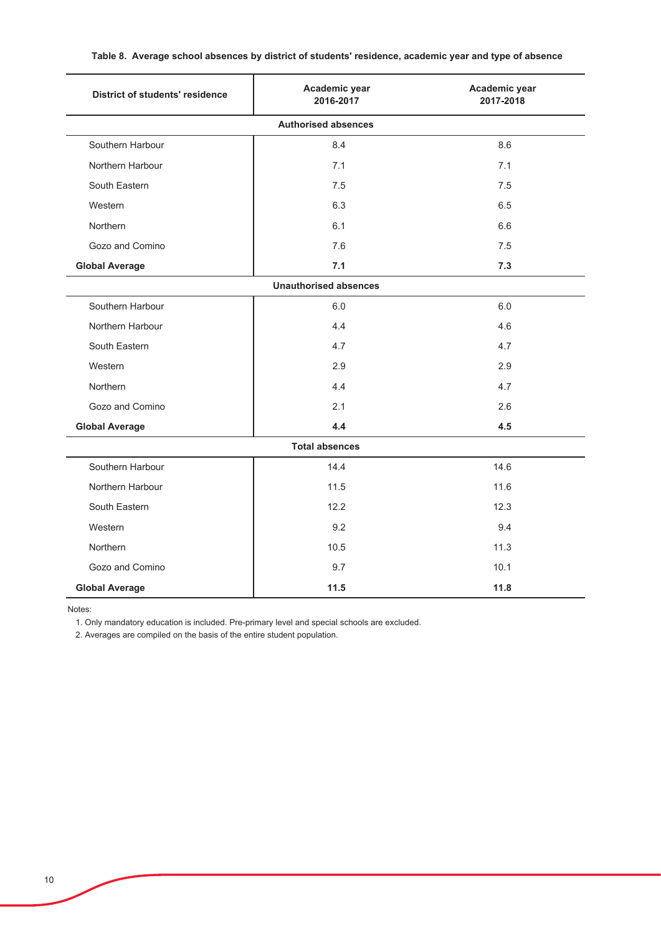| <b>District of students' residence</b> | Academic year<br>2016-2017   | Academic year<br>2017-2018 |  |  |  |
|----------------------------------------|------------------------------|----------------------------|--|--|--|
|                                        | <b>Authorised absences</b>   |                            |  |  |  |
| Southern Harbour                       | 8.4                          | 8.6                        |  |  |  |
| Northern Harbour                       | 7.1                          | 7.1                        |  |  |  |
| South Eastern                          | 7.5                          | 7.5                        |  |  |  |
| Western                                | 6.3                          | 6.5                        |  |  |  |
| Northern                               | 6.1                          | 6.6                        |  |  |  |
| Gozo and Comino                        | 7.6                          | 7.5                        |  |  |  |
| <b>Global Average</b>                  | 7.1                          | 7.3                        |  |  |  |
|                                        | <b>Unauthorised absences</b> |                            |  |  |  |
| Southern Harbour                       | 6.0                          | 6.0                        |  |  |  |
| Northern Harbour                       | 4.4                          | 4.6                        |  |  |  |
| South Eastern                          | 4.7                          | 4.7                        |  |  |  |
| Western                                | 2.9                          | 2.9                        |  |  |  |
| Northern                               | 4.4                          | 4.7                        |  |  |  |
| Gozo and Comino                        | 2.1                          | 2.6                        |  |  |  |
| <b>Global Average</b>                  | 4.4                          | 4.5                        |  |  |  |
| <b>Total absences</b>                  |                              |                            |  |  |  |
| Southern Harbour                       | 14.4                         | 14.6                       |  |  |  |
| Northern Harbour                       | 11.5                         | 11.6                       |  |  |  |
| South Eastern                          | 12.2                         | 12.3                       |  |  |  |
| Western                                | 9.2                          | 9.4                        |  |  |  |
| Northern                               | 10.5                         | 11.3                       |  |  |  |
| Gozo and Comino                        | 9.7                          | 10.1                       |  |  |  |
| <b>Global Average</b>                  | 11.5                         | 11.8                       |  |  |  |

## Table 8. Average school absences by district of students' residence, academic year and type of absence

Notes:

1. Only mandatory education is included. Pre-primary level and special schools are excluded.

2. Averages are compiled on the basis of the entire student population.